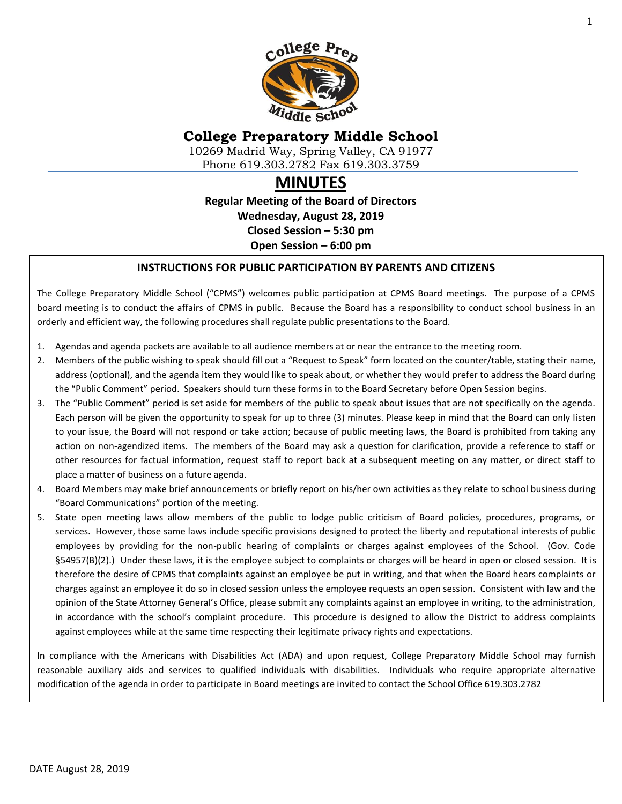

# **College Preparatory Middle School**

10269 Madrid Way, Spring Valley, CA 91977 Phone 619.303.2782 Fax 619.303.3759

# **MINUTES**

**Regular Meeting of the Board of Directors Wednesday, August 28, 2019 Closed Session – 5:30 pm Open Session – 6:00 pm**

#### **INSTRUCTIONS FOR PUBLIC PARTICIPATION BY PARENTS AND CITIZENS**

The College Preparatory Middle School ("CPMS") welcomes public participation at CPMS Board meetings. The purpose of a CPMS board meeting is to conduct the affairs of CPMS in public. Because the Board has a responsibility to conduct school business in an orderly and efficient way, the following procedures shall regulate public presentations to the Board.

- 1. Agendas and agenda packets are available to all audience members at or near the entrance to the meeting room.
- 2. Members of the public wishing to speak should fill out a "Request to Speak" form located on the counter/table, stating their name, address (optional), and the agenda item they would like to speak about, or whether they would prefer to address the Board during the "Public Comment" period. Speakers should turn these forms in to the Board Secretary before Open Session begins.
- 3. The "Public Comment" period is set aside for members of the public to speak about issues that are not specifically on the agenda. Each person will be given the opportunity to speak for up to three (3) minutes. Please keep in mind that the Board can only listen to your issue, the Board will not respond or take action; because of public meeting laws, the Board is prohibited from taking any action on non-agendized items. The members of the Board may ask a question for clarification, provide a reference to staff or other resources for factual information, request staff to report back at a subsequent meeting on any matter, or direct staff to place a matter of business on a future agenda.
- 4. Board Members may make brief announcements or briefly report on his/her own activities as they relate to school business during "Board Communications" portion of the meeting.
- 5. State open meeting laws allow members of the public to lodge public criticism of Board policies, procedures, programs, or services. However, those same laws include specific provisions designed to protect the liberty and reputational interests of public employees by providing for the non-public hearing of complaints or charges against employees of the School. (Gov. Code §54957(B)(2).) Under these laws, it is the employee subject to complaints or charges will be heard in open or closed session. It is therefore the desire of CPMS that complaints against an employee be put in writing, and that when the Board hears complaints or charges against an employee it do so in closed session unless the employee requests an open session. Consistent with law and the opinion of the State Attorney General's Office, please submit any complaints against an employee in writing, to the administration, in accordance with the school's complaint procedure. This procedure is designed to allow the District to address complaints against employees while at the same time respecting their legitimate privacy rights and expectations.

In compliance with the Americans with Disabilities Act (ADA) and upon request, College Preparatory Middle School may furnish reasonable auxiliary aids and services to qualified individuals with disabilities. Individuals who require appropriate alternative modification of the agenda in order to participate in Board meetings are invited to contact the School Office 619.303.2782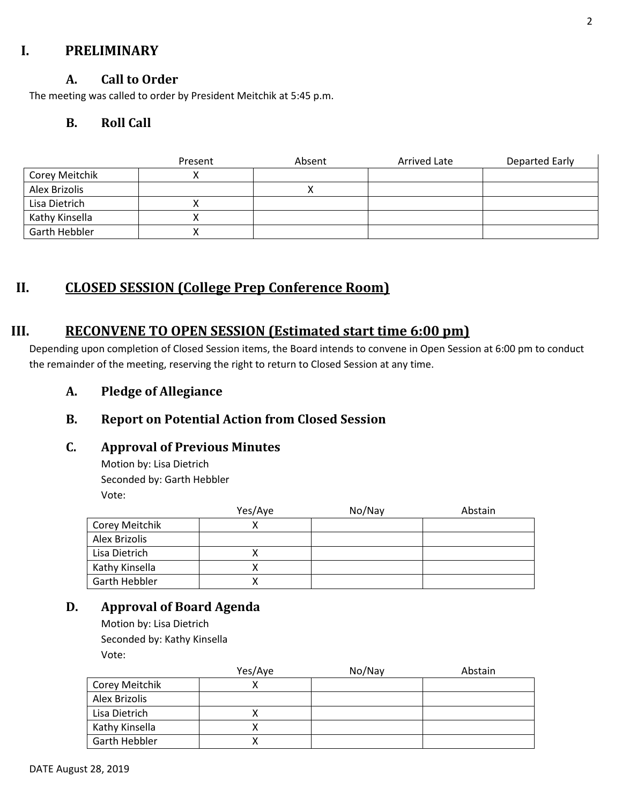## **I. PRELIMINARY**

#### **A. Call to Order**

The meeting was called to order by President Meitchik at 5:45 p.m.

## **B. Roll Call**

|                | Present | Absent | Arrived Late | Departed Early |
|----------------|---------|--------|--------------|----------------|
| Corey Meitchik |         |        |              |                |
| Alex Brizolis  |         |        |              |                |
| Lisa Dietrich  |         |        |              |                |
| Kathy Kinsella |         |        |              |                |
| Garth Hebbler  |         |        |              |                |

# **II. CLOSED SESSION (College Prep Conference Room)**

# **III. RECONVENE TO OPEN SESSION (Estimated start time 6:00 pm)**

Depending upon completion of Closed Session items, the Board intends to convene in Open Session at 6:00 pm to conduct the remainder of the meeting, reserving the right to return to Closed Session at any time.

**A. Pledge of Allegiance**

# **B. Report on Potential Action from Closed Session**

#### **C. Approval of Previous Minutes**

Motion by: Lisa Dietrich Seconded by: Garth Hebbler Vote:

|                | Yes/Aye | No/Nay | Abstain |
|----------------|---------|--------|---------|
| Corey Meitchik |         |        |         |
| Alex Brizolis  |         |        |         |
| Lisa Dietrich  |         |        |         |
| Kathy Kinsella |         |        |         |
| Garth Hebbler  |         |        |         |

## **D. Approval of Board Agenda**

Motion by: Lisa Dietrich Seconded by: Kathy Kinsella Vote:

|                | Yes/Aye | No/Nay | Abstain |
|----------------|---------|--------|---------|
| Corey Meitchik |         |        |         |
| Alex Brizolis  |         |        |         |
| Lisa Dietrich  |         |        |         |
| Kathy Kinsella |         |        |         |
| Garth Hebbler  |         |        |         |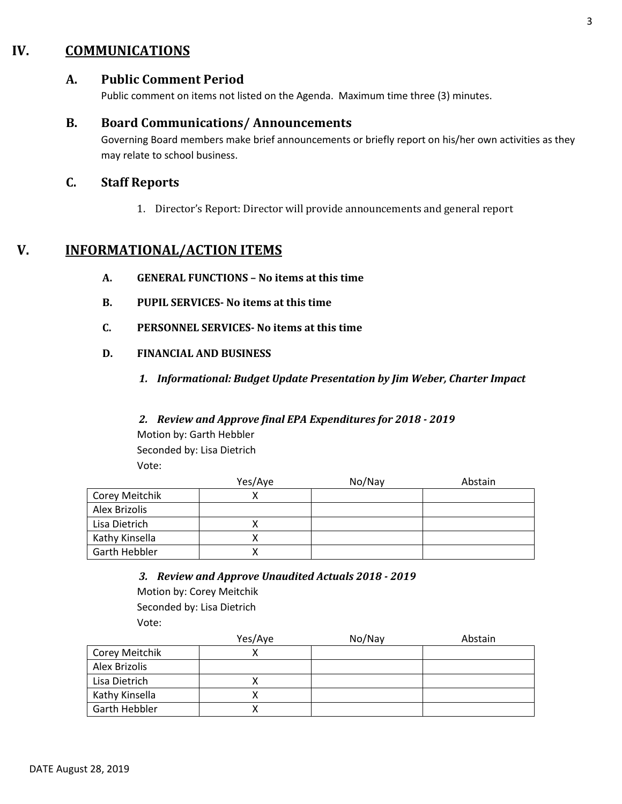# **IV. COMMUNICATIONS**

#### **A. Public Comment Period**

Public comment on items not listed on the Agenda. Maximum time three (3) minutes.

#### **B. Board Communications/ Announcements**

Governing Board members make brief announcements or briefly report on his/her own activities as they may relate to school business.

#### **C. Staff Reports**

1. Director's Report: Director will provide announcements and general report

# **V. INFORMATIONAL/ACTION ITEMS**

- **A. GENERAL FUNCTIONS – No items at this time**
- **B. PUPIL SERVICES- No items at this time**
- **C. PERSONNEL SERVICES- No items at this time**
- **D. FINANCIAL AND BUSINESS**
	- *1. Informational: Budget Update Presentation by Jim Weber, Charter Impact*

#### *2. Review and Approve final EPA Expenditures for 2018 - 2019*

Motion by: Garth Hebbler Seconded by: Lisa Dietrich Vote:

|                | Yes/Aye | No/Nay | Abstain |
|----------------|---------|--------|---------|
| Corey Meitchik |         |        |         |
| Alex Brizolis  |         |        |         |
| Lisa Dietrich  |         |        |         |
| Kathy Kinsella |         |        |         |
| Garth Hebbler  |         |        |         |

*3. Review and Approve Unaudited Actuals 2018 - 2019* Motion by: Corey Meitchik Seconded by: Lisa Dietrich Vote:

|                      | Yes/Aye | No/Nay | Abstain |
|----------------------|---------|--------|---------|
| Corey Meitchik       |         |        |         |
| Alex Brizolis        |         |        |         |
| Lisa Dietrich        |         |        |         |
| Kathy Kinsella       |         |        |         |
| <b>Garth Hebbler</b> |         |        |         |